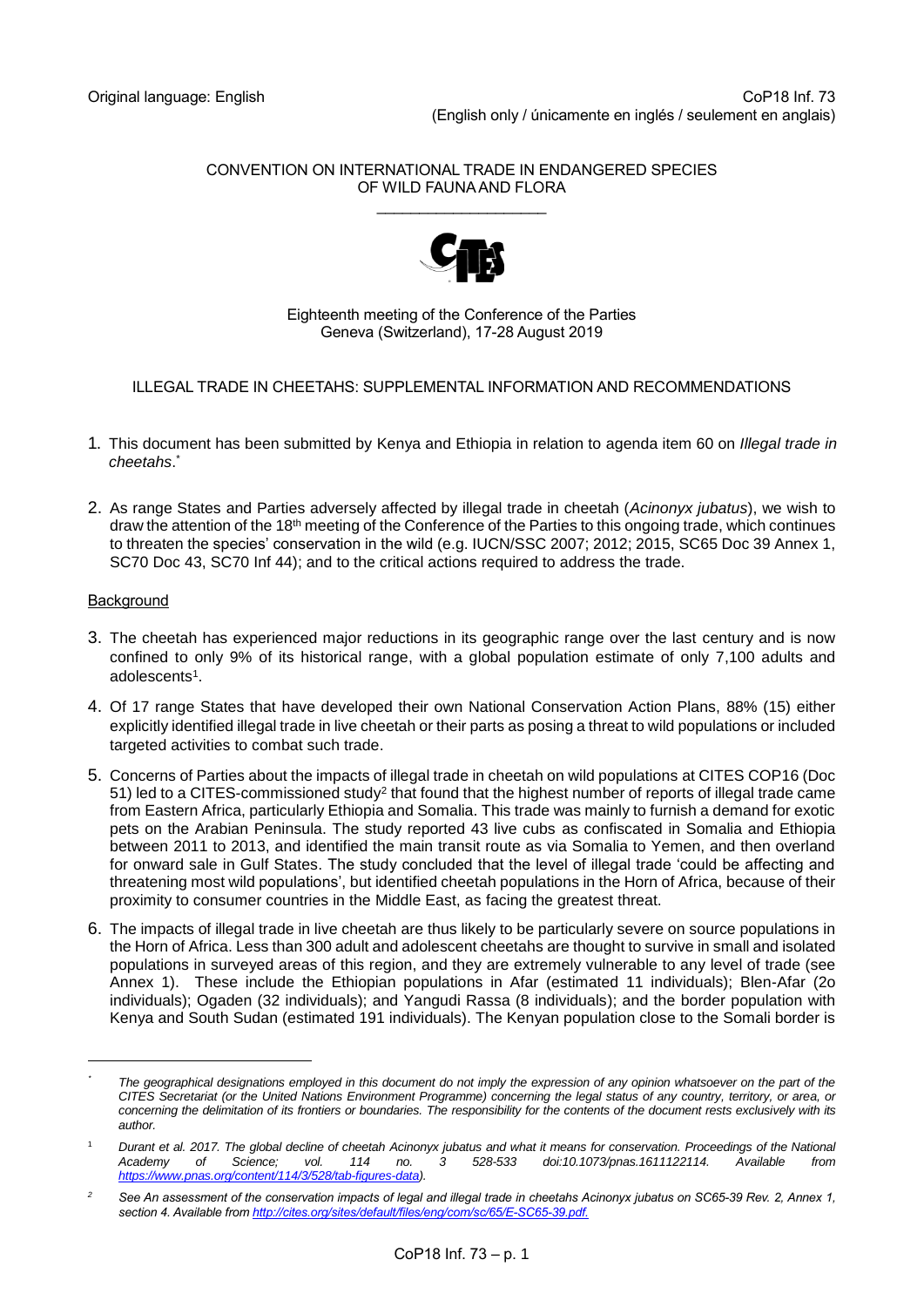#### CONVENTION ON INTERNATIONAL TRADE IN ENDANGERED SPECIES OF WILD FAUNA AND FLORA \_\_\_\_\_\_\_\_\_\_\_\_\_\_\_\_\_\_\_\_



### Eighteenth meeting of the Conference of the Parties Geneva (Switzerland), 17-28 August 2019

## ILLEGAL TRADE IN CHEETAHS: SUPPLEMENTAL INFORMATION AND RECOMMENDATIONS

- 1. This document has been submitted by Kenya and Ethiopia in relation to agenda item 60 on *Illegal trade in cheetahs*. \*
- 2. As range States and Parties adversely affected by illegal trade in cheetah (*Acinonyx jubatus*), we wish to draw the attention of the 18th meeting of the Conference of the Parties to this ongoing trade, which continues to threaten the species' conservation in the wild (e.g. IUCN/SSC 2007; 2012; 2015, SC65 Doc 39 Annex 1, SC70 Doc 43, SC70 Inf 44); and to the critical actions required to address the trade.

# **Background**

- 3. The cheetah has experienced major reductions in its geographic range over the last century and is now confined to only 9% of its historical range, with a global population estimate of only 7,100 adults and adolescents 1 .
- 4. Of 17 range States that have developed their own National Conservation Action Plans, 88% (15) either explicitly identified illegal trade in live cheetah or their parts as posing a threat to wild populations or included targeted activities to combat such trade.
- 5. Concerns of Parties about the impacts of illegal trade in cheetah on wild populations at CITES COP16 (Doc 51) led to a CITES-commissioned study<sup>2</sup> that found that the highest number of reports of illegal trade came from Eastern Africa, particularly Ethiopia and Somalia. This trade was mainly to furnish a demand for exotic pets on the Arabian Peninsula. The study reported 43 live cubs as confiscated in Somalia and Ethiopia between 2011 to 2013, and identified the main transit route as via Somalia to Yemen, and then overland for onward sale in Gulf States. The study concluded that the level of illegal trade 'could be affecting and threatening most wild populations', but identified cheetah populations in the Horn of Africa, because of their proximity to consumer countries in the Middle East, as facing the greatest threat.
- 6. The impacts of illegal trade in live cheetah are thus likely to be particularly severe on source populations in the Horn of Africa. Less than 300 adult and adolescent cheetahs are thought to survive in small and isolated populations in surveyed areas of this region, and they are extremely vulnerable to any level of trade (see Annex 1). These include the Ethiopian populations in Afar (estimated 11 individuals); Blen-Afar (2o individuals); Ogaden (32 individuals); and Yangudi Rassa (8 individuals); and the border population with Kenya and South Sudan (estimated 191 individuals). The Kenyan population close to the Somali border is

*<sup>\*</sup> The geographical designations employed in this document do not imply the expression of any opinion whatsoever on the part of the CITES Secretariat (or the United Nations Environment Programme) concerning the legal status of any country, territory, or area, or*  concerning the delimitation of its frontiers or boundaries. The responsibility for the contents of the document rests exclusively with its *author.*

<sup>1</sup> *Durant et al. 2017. The global decline of cheetah Acinonyx jubatus and what it means for conservation. Proceedings of the National Academy of Science; vol. 114 no. 3 528-533 doi:10.1073/pnas.1611122114. Available from [https://www.pnas.org/content/114/3/528/tab-figures-data\).](https://www.pnas.org/content/114/3/528/tab-figures-data)*

<sup>&</sup>lt;sup>2</sup> See An assessment of the conservation impacts of legal and illegal trade in cheetahs Acinonyx jubatus on SC65-39 Rev. 2, Annex 1, *section 4. Available from [http://cites.org/sites/default/files/eng/com/sc/65/E-SC65-39.pdf.](http://cites.org/sites/default/files/eng/com/sc/65/E-SC65-39.pdf)*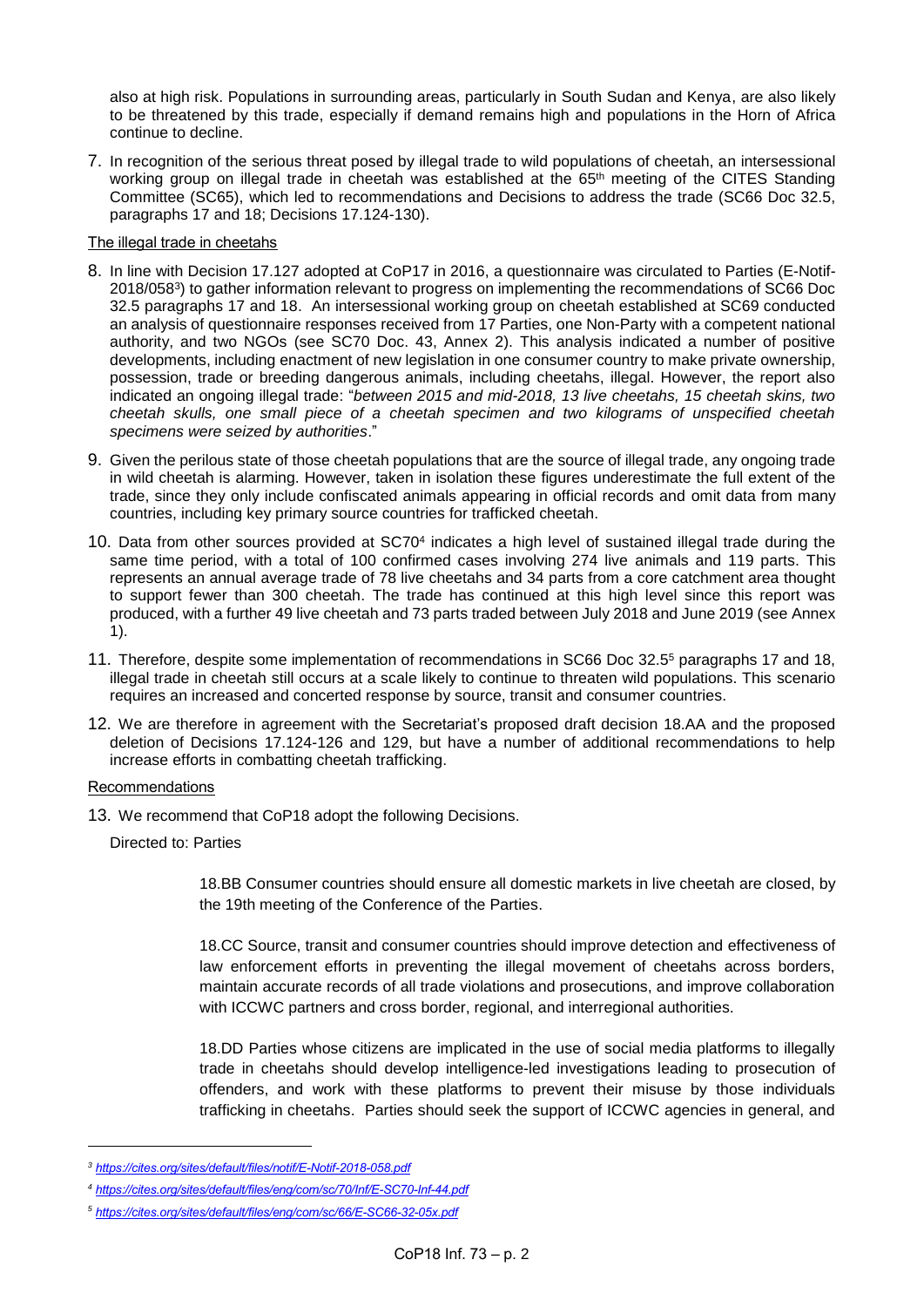also at high risk. Populations in surrounding areas, particularly in South Sudan and Kenya, are also likely to be threatened by this trade, especially if demand remains high and populations in the Horn of Africa continue to decline.

7. In recognition of the serious threat posed by illegal trade to wild populations of cheetah, an intersessional working group on illegal trade in cheetah was established at the 65<sup>th</sup> meeting of the CITES Standing Committee (SC65), which led to recommendations and Decisions to address the trade (SC66 Doc 32.5, paragraphs 17 and 18; Decisions 17.124-130).

### The illegal trade in cheetahs

- 8. In line with Decision 17.127 adopted at CoP17 in 2016, a questionnaire was circulated to Parties (E-Notif-2018/058<sup>3</sup> ) to gather information relevant to progress on implementing the recommendations of SC66 Doc 32.5 paragraphs 17 and 18. An intersessional working group on cheetah established at SC69 conducted an analysis of questionnaire responses received from 17 Parties, one Non-Party with a competent national authority, and two NGOs (see SC70 Doc. 43, Annex 2). This analysis indicated a number of positive developments, including enactment of new legislation in one consumer country to make private ownership, possession, trade or breeding dangerous animals, including cheetahs, illegal. However, the report also indicated an ongoing illegal trade: "*between 2015 and mid-2018, 13 live cheetahs, 15 cheetah skins, two cheetah skulls, one small piece of a cheetah specimen and two kilograms of unspecified cheetah specimens were seized by authorities*."
- 9. Given the perilous state of those cheetah populations that are the source of illegal trade, any ongoing trade in wild cheetah is alarming. However, taken in isolation these figures underestimate the full extent of the trade, since they only include confiscated animals appearing in official records and omit data from many countries, including key primary source countries for trafficked cheetah.
- 10. Data from other sources provided at SC70<sup>4</sup> indicates a high level of sustained illegal trade during the same time period, with a total of 100 confirmed cases involving 274 live animals and 119 parts. This represents an annual average trade of 78 live cheetahs and 34 parts from a core catchment area thought to support fewer than 300 cheetah. The trade has continued at this high level since this report was produced, with a further 49 live cheetah and 73 parts traded between July 2018 and June 2019 (see Annex 1).
- 11. Therefore, despite some implementation of recommendations in SC66 Doc 32.5<sup>5</sup> paragraphs 17 and 18, illegal trade in cheetah still occurs at a scale likely to continue to threaten wild populations. This scenario requires an increased and concerted response by source, transit and consumer countries.
- 12. We are therefore in agreement with the Secretariat's proposed draft decision 18.AA and the proposed deletion of Decisions 17.124-126 and 129, but have a number of additional recommendations to help increase efforts in combatting cheetah trafficking.

## Recommendations

-

13. We recommend that CoP18 adopt the following Decisions.

Directed to: Parties

18.BB Consumer countries should ensure all domestic markets in live cheetah are closed, by the 19th meeting of the Conference of the Parties.

18.CC Source, transit and consumer countries should improve detection and effectiveness of law enforcement efforts in preventing the illegal movement of cheetahs across borders, maintain accurate records of all trade violations and prosecutions, and improve collaboration with ICCWC partners and cross border, regional, and interregional authorities.

18.DD Parties whose citizens are implicated in the use of social media platforms to illegally trade in cheetahs should develop intelligence-led investigations leading to prosecution of offenders, and work with these platforms to prevent their misuse by those individuals trafficking in cheetahs. Parties should seek the support of ICCWC agencies in general, and

*<sup>3</sup> <https://cites.org/sites/default/files/notif/E-Notif-2018-058.pdf>*

*<sup>4</sup> <https://cites.org/sites/default/files/eng/com/sc/70/Inf/E-SC70-Inf-44.pdf>*

*<sup>5</sup> <https://cites.org/sites/default/files/eng/com/sc/66/E-SC66-32-05x.pdf>*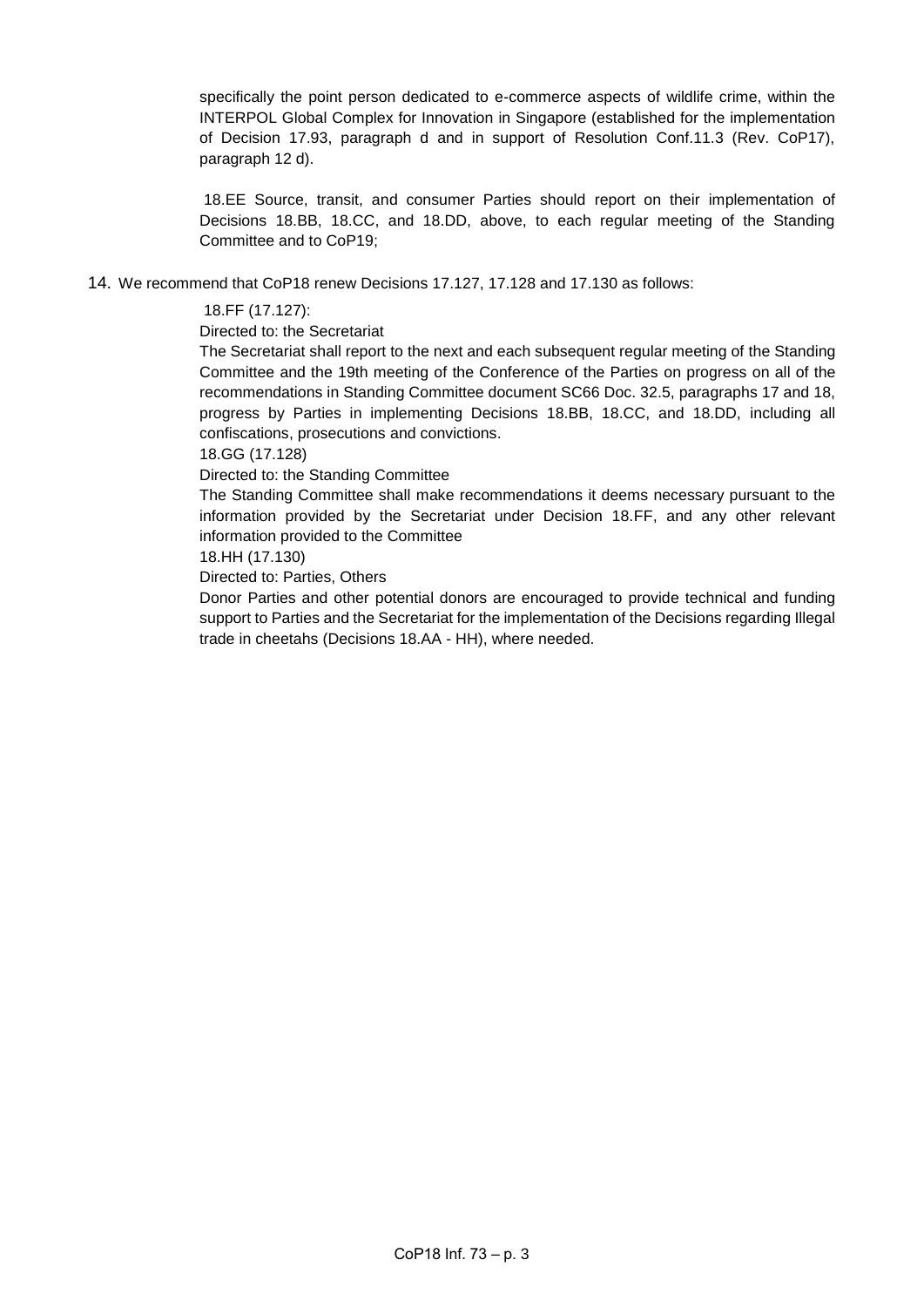specifically the point person dedicated to e-commerce aspects of wildlife crime, within the INTERPOL Global Complex for Innovation in Singapore (established for the implementation of Decision 17.93, paragraph d and in support of Resolution Conf.11.3 (Rev. CoP17), paragraph 12 d).

18.EE Source, transit, and consumer Parties should report on their implementation of Decisions 18.BB, 18.CC, and 18.DD, above, to each regular meeting of the Standing Committee and to CoP19;

14. We recommend that CoP18 renew Decisions 17.127, 17.128 and 17.130 as follows:

#### 18.FF (17.127):

Directed to: the Secretariat

The Secretariat shall report to the next and each subsequent regular meeting of the Standing Committee and the 19th meeting of the Conference of the Parties on progress on all of the recommendations in Standing Committee document SC66 Doc. 32.5, paragraphs 17 and 18, progress by Parties in implementing Decisions 18.BB, 18.CC, and 18.DD, including all confiscations, prosecutions and convictions.

18.GG (17.128)

Directed to: the Standing Committee

The Standing Committee shall make recommendations it deems necessary pursuant to the information provided by the Secretariat under Decision 18.FF, and any other relevant information provided to the Committee

#### 18.HH (17.130)

Directed to: Parties, Others

Donor Parties and other potential donors are encouraged to provide technical and funding support to Parties and the Secretariat for the implementation of the Decisions regarding Illegal trade in cheetahs (Decisions 18.AA - HH), where needed.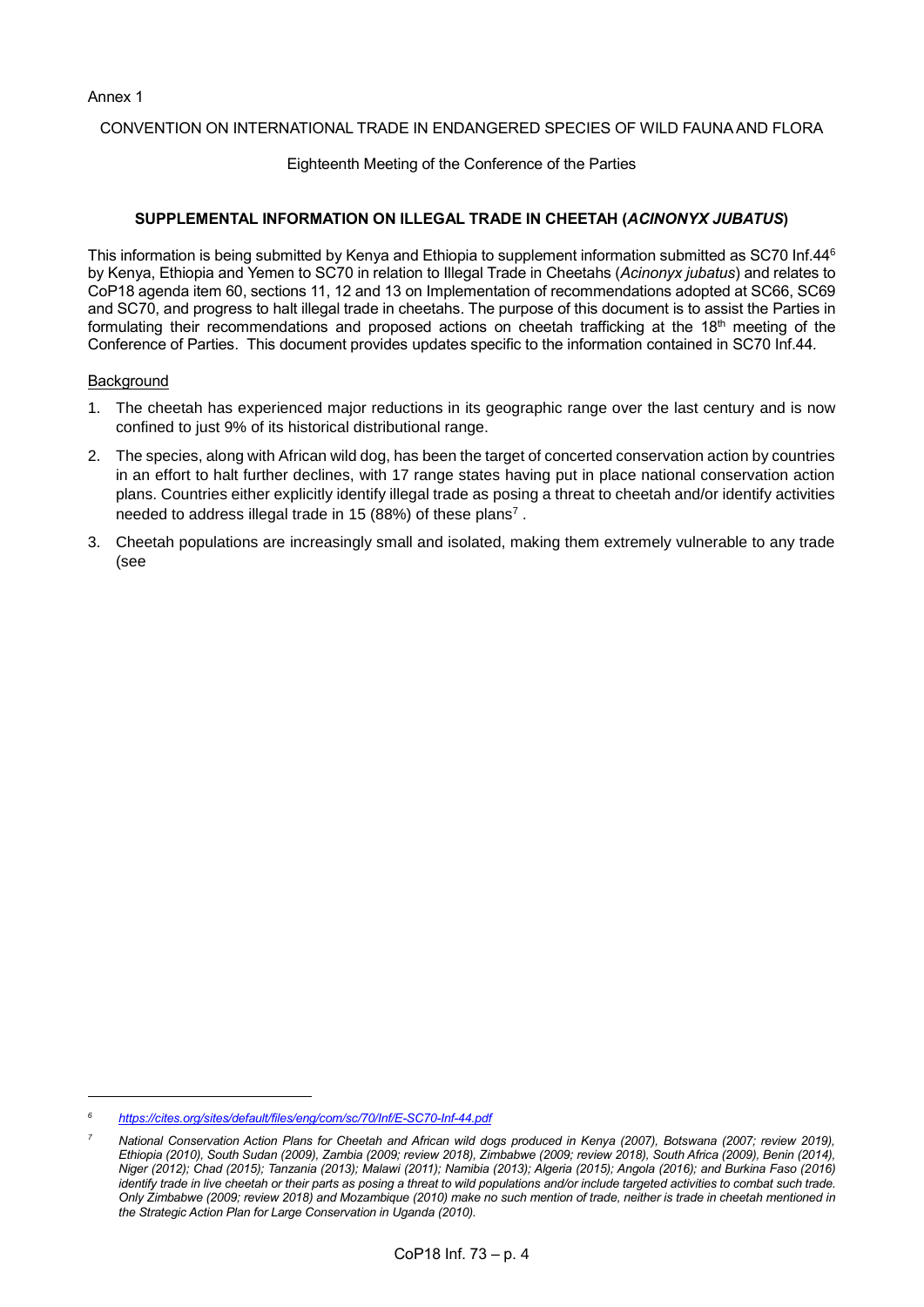Annex 1

## CONVENTION ON INTERNATIONAL TRADE IN ENDANGERED SPECIES OF WILD FAUNA AND FLORA

Eighteenth Meeting of the Conference of the Parties

# **SUPPLEMENTAL INFORMATION ON ILLEGAL TRADE IN CHEETAH (***ACINONYX JUBATUS***)**

This information is being submitted by Kenya and Ethiopia to supplement information submitted as SC70 Inf.44<sup>6</sup> by Kenya, Ethiopia and Yemen to SC70 in relation to Illegal Trade in Cheetahs (*Acinonyx jubatus*) and relates to CoP18 agenda item 60, sections 11, 12 and 13 on Implementation of recommendations adopted at SC66, SC69 and SC70, and progress to halt illegal trade in cheetahs. The purpose of this document is to assist the Parties in formulating their recommendations and proposed actions on cheetah trafficking at the  $18<sup>th</sup>$  meeting of the Conference of Parties. This document provides updates specific to the information contained in SC70 Inf.44*.* 

#### **Background**

- 1. The cheetah has experienced major reductions in its geographic range over the last century and is now confined to just 9% of its historical distributional range.
- 2. The species, along with African wild dog, has been the target of concerted conservation action by countries in an effort to halt further declines, with 17 range states having put in place national conservation action plans. Countries either explicitly identify illegal trade as posing a threat to cheetah and/or identify activities needed to address illegal trade in 15 (88%) of these plans<sup>7</sup>.
- 3. Cheetah populations are increasingly small and isolated, making them extremely vulnerable to any trade (see

*<sup>6</sup> <https://cites.org/sites/default/files/eng/com/sc/70/Inf/E-SC70-Inf-44.pdf>*

*<sup>7</sup> National Conservation Action Plans for Cheetah and African wild dogs produced in Kenya (2007), Botswana (2007; review 2019), Ethiopia (2010), South Sudan (2009), Zambia (2009; review 2018), Zimbabwe (2009; review 2018), South Africa (2009), Benin (2014), Niger (2012); Chad (2015); Tanzania (2013); Malawi (2011); Namibia (2013); Algeria (2015); Angola (2016); and Burkina Faso (2016) identify trade in live cheetah or their parts as posing a threat to wild populations and/or include targeted activities to combat such trade. Only Zimbabwe (2009; review 2018) and Mozambique (2010) make no such mention of trade, neither is trade in cheetah mentioned in the Strategic Action Plan for Large Conservation in Uganda (2010).*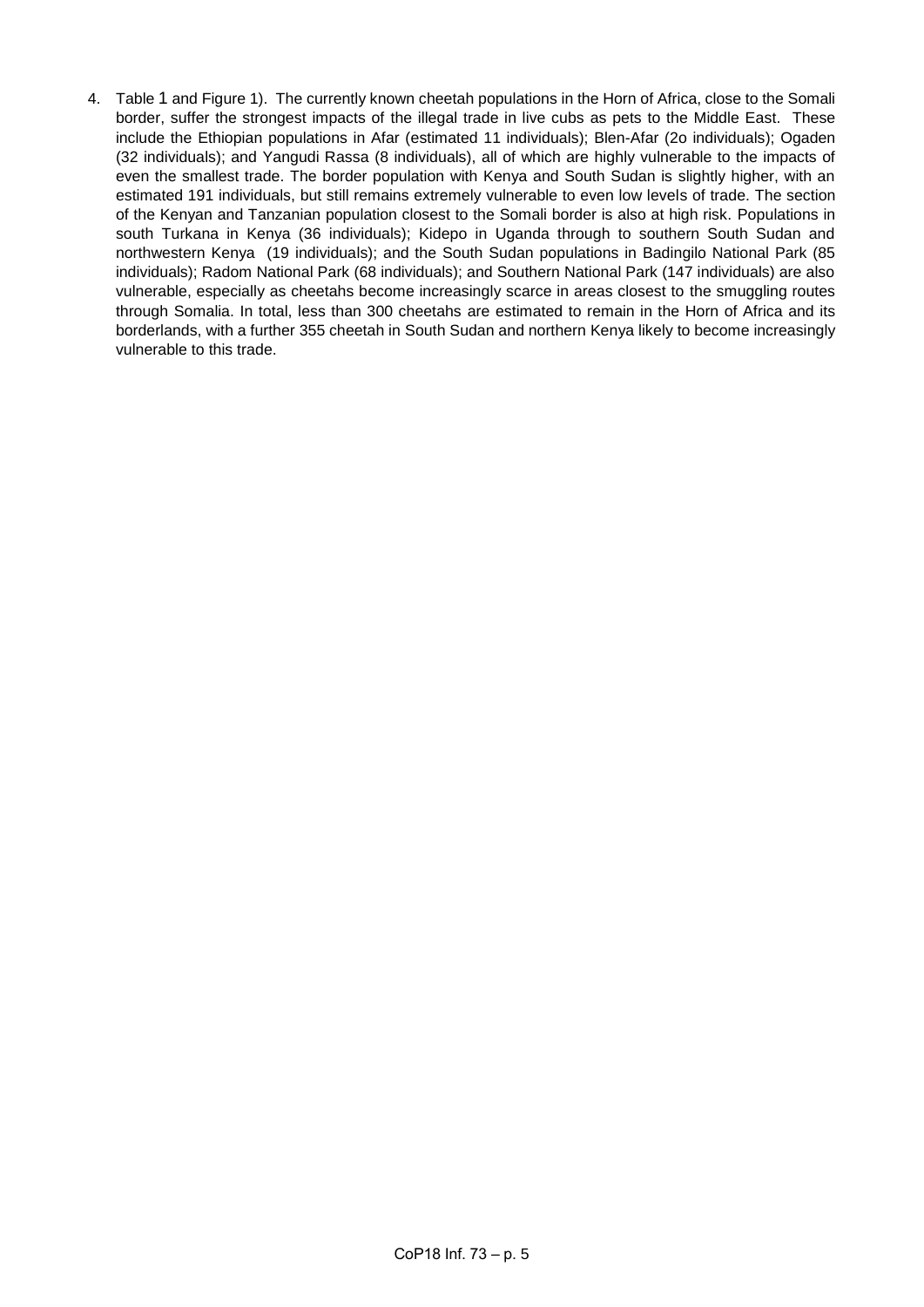<span id="page-4-0"></span>4. [Table](#page-4-0) 1 and [Figure 1\)](#page-6-0). The currently known cheetah populations in the Horn of Africa, close to the Somali border, suffer the strongest impacts of the illegal trade in live cubs as pets to the Middle East. These include the Ethiopian populations in Afar (estimated 11 individuals); Blen-Afar (2o individuals); Ogaden (32 individuals); and Yangudi Rassa (8 individuals), all of which are highly vulnerable to the impacts of even the smallest trade. The border population with Kenya and South Sudan is slightly higher, with an estimated 191 individuals, but still remains extremely vulnerable to even low levels of trade. The section of the Kenyan and Tanzanian population closest to the Somali border is also at high risk. Populations in south Turkana in Kenya (36 individuals); Kidepo in Uganda through to southern South Sudan and northwestern Kenya (19 individuals); and the South Sudan populations in Badingilo National Park (85 individuals); Radom National Park (68 individuals); and Southern National Park (147 individuals) are also vulnerable, especially as cheetahs become increasingly scarce in areas closest to the smuggling routes through Somalia. In total, less than 300 cheetahs are estimated to remain in the Horn of Africa and its borderlands, with a further 355 cheetah in South Sudan and northern Kenya likely to become increasingly vulnerable to this trade.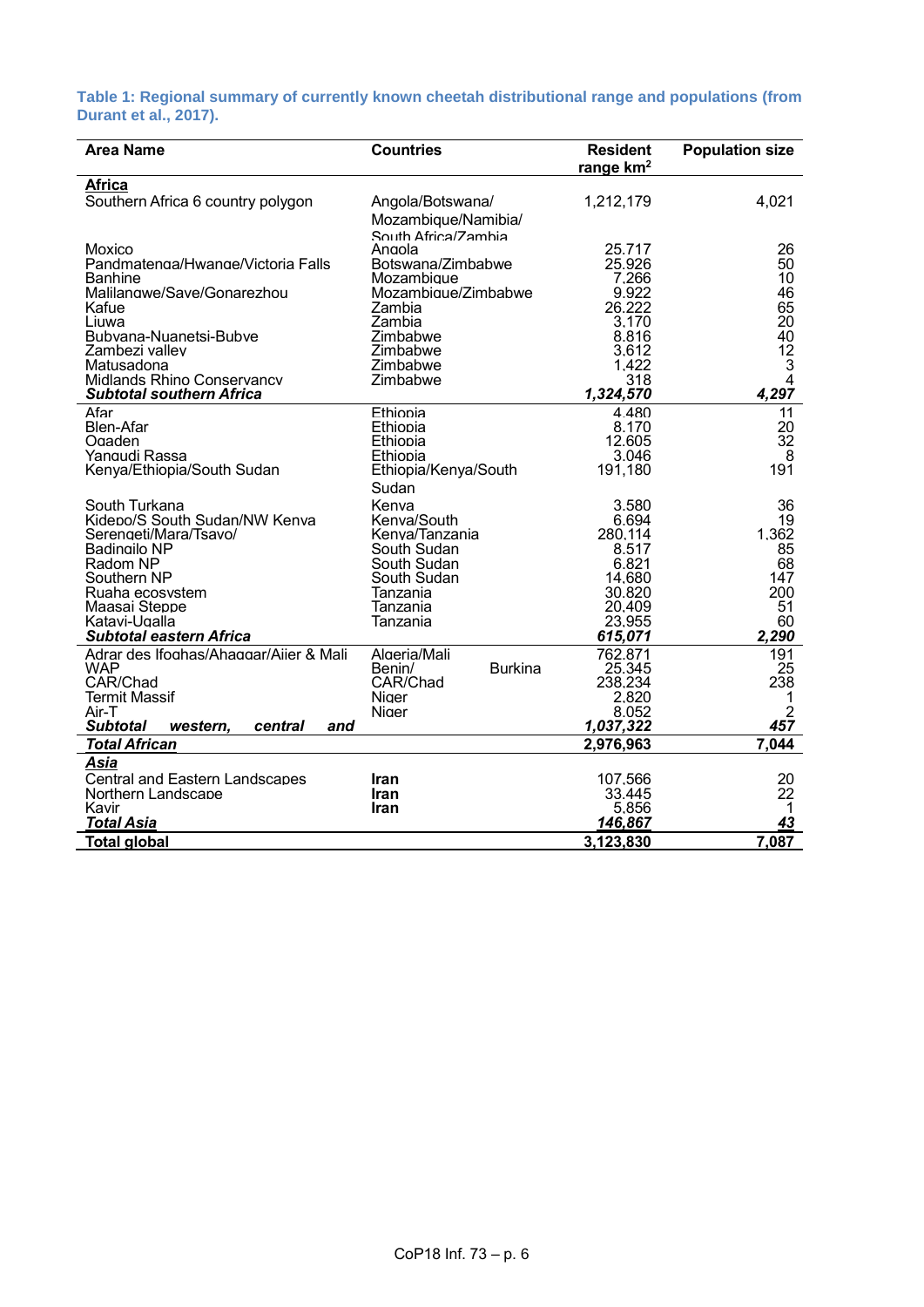**Table 1: Regional summary of currently known cheetah distributional range and populations (from Durant et al., 2017).**

| <b>Area Name</b>                                       | <b>Countries</b>              | <b>Resident</b><br>range km <sup>2</sup> | <b>Population size</b> |
|--------------------------------------------------------|-------------------------------|------------------------------------------|------------------------|
| Africa                                                 |                               |                                          |                        |
| Southern Africa 6 country polygon                      | Angola/Botswana/              | 1,212,179                                | 4,021                  |
|                                                        | Mozambique/Namibia/           |                                          |                        |
|                                                        | South Africa/Zamhia           |                                          |                        |
| Moxico                                                 | Angola                        | 25.717                                   | 26                     |
| Pandmatenga/Hwange/Victoria Falls                      | Botswana/Zimbabwe             | 25.926                                   | 50                     |
| Banhine                                                | Mozambique                    | 7.266                                    | 10                     |
| Malilangwe/Save/Gonarezhou                             | Mozambique/Zimbabwe<br>Zambia | 9.922<br>26.222                          | 46<br>65               |
| Kafue<br>Liuwa                                         | Zambia                        | 3.170                                    | 20                     |
| Bubvana-Nuanetsi-Bubve                                 | Zimbabwe                      | 8.816                                    | 40                     |
| Zambezi vallev                                         | Zimbabwe                      | 3.612                                    | 12                     |
| Matusadona                                             | Zimbabwe                      | 1.422                                    | 3                      |
| Midlands Rhino Conservancv                             | Zimbabwe                      | 318                                      | $\overline{4}$         |
| <b>Subtotal southern Africa</b>                        |                               | 1,324,570                                | 4,297                  |
| Afar                                                   | Ethiopia                      | 4.480                                    | 11                     |
| <b>Blen-Afar</b>                                       | Ethiopia                      | 8.170<br>12.605                          | 20<br>$\overline{32}$  |
| Ogaden<br>Yangudi Rassa                                | Ethiopia<br>Ethiopia          | 3.046                                    | 8                      |
| Kenya/Ethiopia/South Sudan                             | Ethiopia/Kenya/South          | 191,180                                  | 191                    |
|                                                        | Sudan                         |                                          |                        |
| South Turkana                                          | Kenva                         | 3.580                                    | 36                     |
| Kidepo/S South Sudan/NW Kenva                          | Kenva/South                   | 6.694                                    | 19                     |
| Serengeti/Mara/Tsavo/                                  | Kenva/Tanzania                | 280.114                                  | 1.362                  |
| <b>Badingilo NP</b>                                    | South Sudan                   | 8.517                                    | 85                     |
| Radom NP                                               | South Sudan                   | 6.821                                    | 68                     |
| Southern NP<br>Ruaha ecosvstem                         | South Sudan                   | 14.680<br>30.820                         | 147<br>200             |
| Maasai Steppe                                          | Tanzania<br>Tanzania          | 20.409                                   | 51                     |
| Katavi-Ugalla                                          | Tanzania                      | 23.955                                   | 60                     |
| <b>Subtotal eastern Africa</b>                         |                               | 615,071                                  | 2,290                  |
| Adrar des Ifoghas/Ahaggar/Aiier & Mali                 | Algeria/Mali                  | 762.871                                  | 191                    |
| <b>WAP</b>                                             | <b>Burkina</b><br>Benin/      | 25.345                                   | 25                     |
| CAR/Chad                                               | CAR/Chad                      | 238.234                                  | 238                    |
| Termit Massif                                          | Niger                         | 2.820                                    | 1                      |
| Air-T<br><b>Subtotal</b><br>western,<br>central<br>and | Niger                         | 8.052<br>1,037,322                       | $\overline{2}$<br>457  |
| <b>Total African</b>                                   |                               | 2,976,963                                | 7,044                  |
| Asia                                                   |                               |                                          |                        |
| <b>Central and Eastern Landscapes</b>                  | <b>Iran</b>                   | 107.566                                  | 20                     |
| Northern Landscape                                     | Iran                          | 33.445                                   | 22                     |
| Kavir                                                  | <b>Iran</b>                   | 5.856                                    | 1                      |
| <b>Total Asia</b>                                      |                               | 146,867                                  | 43                     |
| <b>Total global</b>                                    |                               | 3,123,830                                | 7,087                  |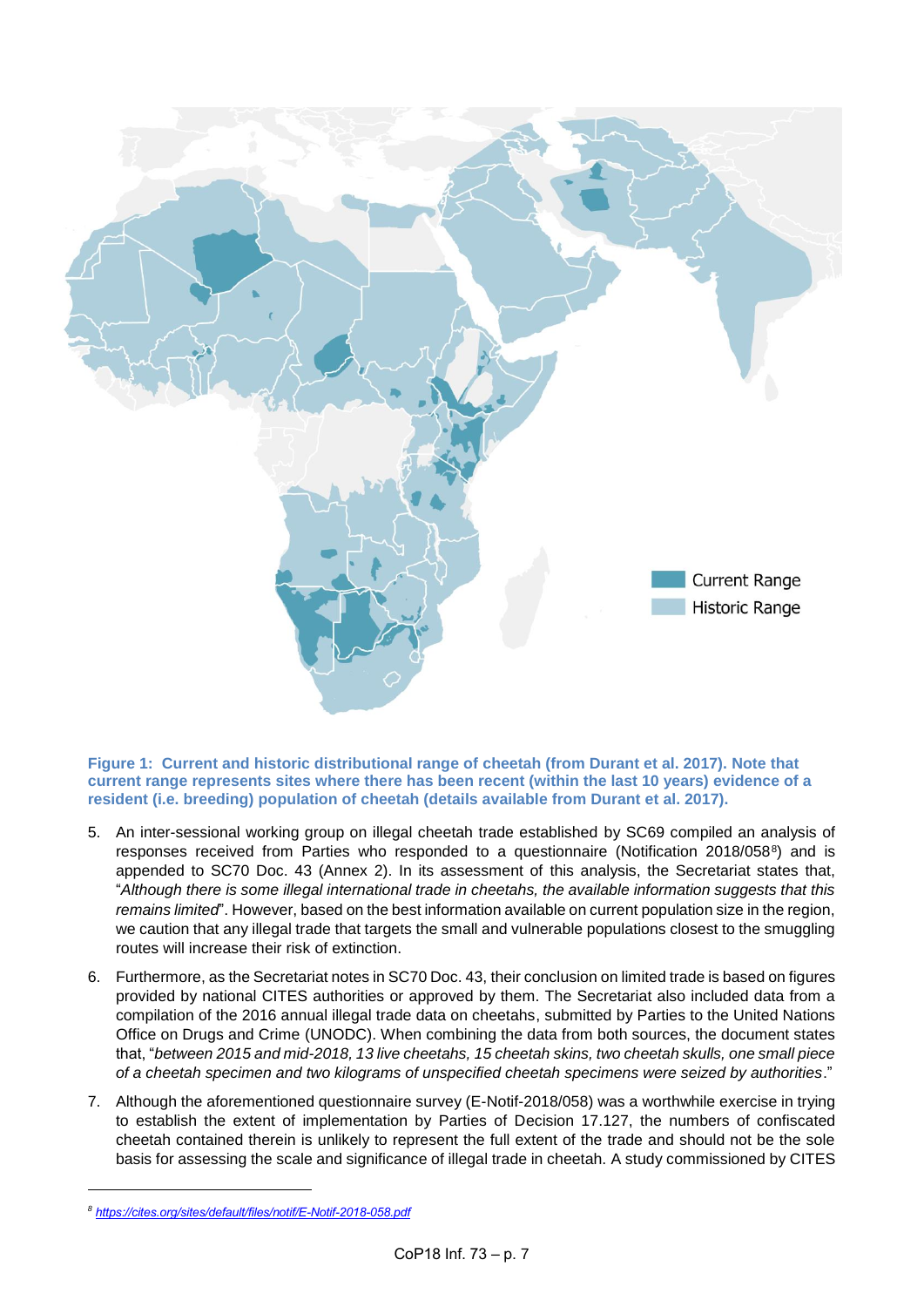

<span id="page-6-0"></span>**Figure 1: Current and historic distributional range of cheetah (from Durant et al. 2017). Note that current range represents sites where there has been recent (within the last 10 years) evidence of a resident (i.e. breeding) population of cheetah (details available from Durant et al. 2017).** 

- 5. An inter-sessional working group on illegal cheetah trade established by SC69 compiled an analysis of responses received from Parties who responded to a questionnaire (Notification 2018/058<sup>8</sup>) and is appended to SC70 Doc. 43 (Annex 2). In its assessment of this analysis, the Secretariat states that, "*Although there is some illegal international trade in cheetahs, the available information suggests that this remains limited*". However, based on the best information available on current population size in the region, we caution that any illegal trade that targets the small and vulnerable populations closest to the smuggling routes will increase their risk of extinction.
- 6. Furthermore, as the Secretariat notes in SC70 Doc. 43, their conclusion on limited trade is based on figures provided by national CITES authorities or approved by them. The Secretariat also included data from a compilation of the 2016 annual illegal trade data on cheetahs, submitted by Parties to the United Nations Office on Drugs and Crime (UNODC). When combining the data from both sources, the document states that, "*between 2015 and mid-2018, 13 live cheetahs, 15 cheetah skins, two cheetah skulls, one small piece of a cheetah specimen and two kilograms of unspecified cheetah specimens were seized by authorities*."
- 7. Although the aforementioned questionnaire survey (E-Notif-2018/058) was a worthwhile exercise in trying to establish the extent of implementation by Parties of Decision 17.127, the numbers of confiscated cheetah contained therein is unlikely to represent the full extent of the trade and should not be the sole basis for assessing the scale and significance of illegal trade in cheetah. A study commissioned by CITES

*<sup>8</sup> <https://cites.org/sites/default/files/notif/E-Notif-2018-058.pdf>*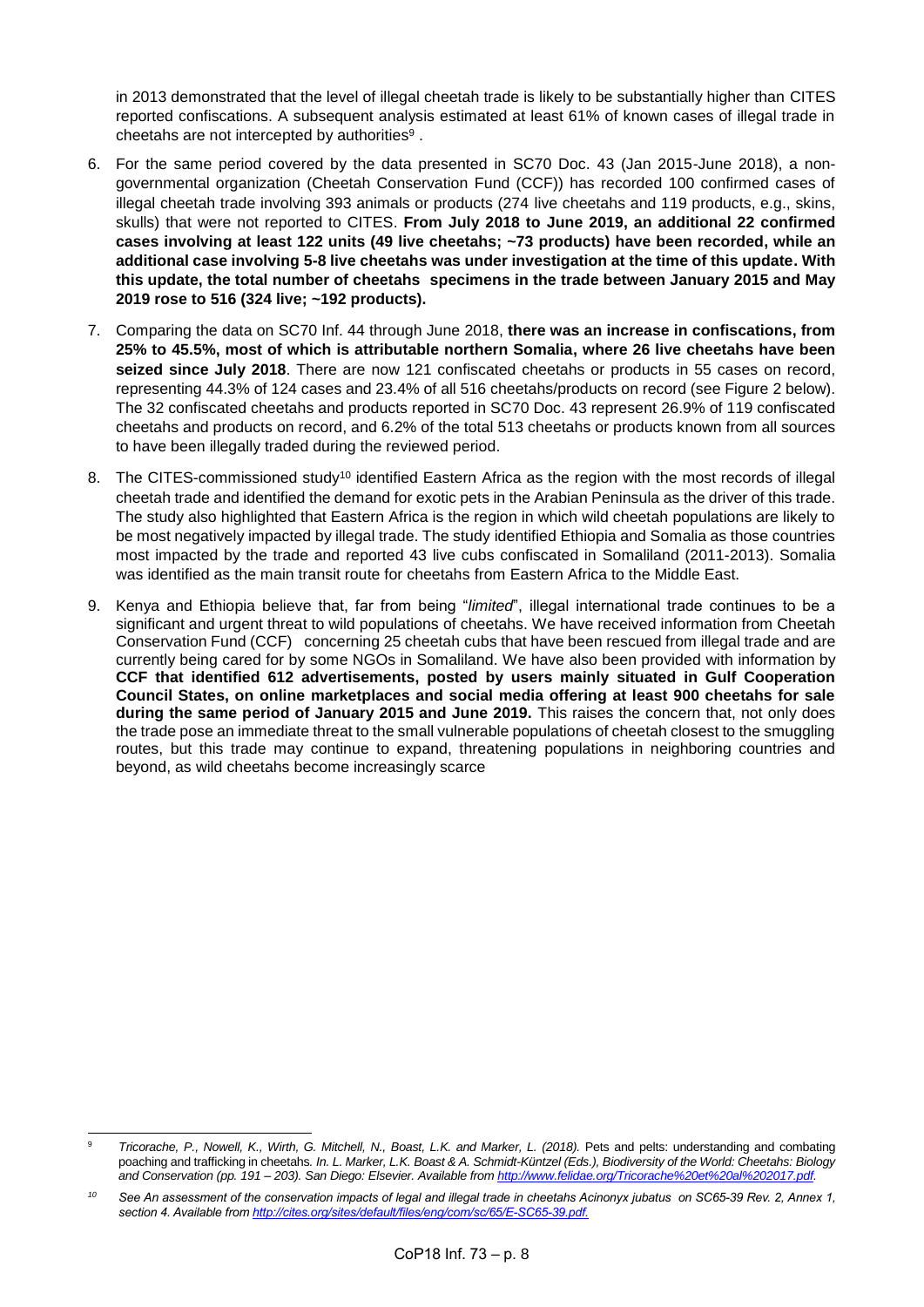in 2013 demonstrated that the level of illegal cheetah trade is likely to be substantially higher than CITES reported confiscations. A subsequent analysis estimated at least 61% of known cases of illegal trade in cheetahs are not intercepted by authorities $9$ .

- 6. For the same period covered by the data presented in SC70 Doc. 43 (Jan 2015-June 2018), a nongovernmental organization (Cheetah Conservation Fund (CCF)) has recorded 100 confirmed cases of illegal cheetah trade involving 393 animals or products (274 live cheetahs and 119 products, e.g., skins, skulls) that were not reported to CITES. **From July 2018 to June 2019, an additional 22 confirmed cases involving at least 122 units (49 live cheetahs; ~73 products) have been recorded, while an additional case involving 5-8 live cheetahs was under investigation at the time of this update. With this update, the total number of cheetahs specimens in the trade between January 2015 and May 2019 rose to 516 (324 live; ~192 products).**
- 7. Comparing the data on SC70 Inf. 44 through June 2018, **there was an increase in confiscations, from 25% to 45.5%, most of which is attributable northern Somalia, where 26 live cheetahs have been seized since July 2018**. There are now 121 confiscated cheetahs or products in 55 cases on record, representing 44.3% of 124 cases and 23.4% of all 516 cheetahs/products on record (see [Figure 2](#page-8-0) below). The 32 confiscated cheetahs and products reported in SC70 Doc. 43 represent 26.9% of 119 confiscated cheetahs and products on record, and 6.2% of the total 513 cheetahs or products known from all sources to have been illegally traded during the reviewed period.
- 8. The CITES-commissioned study<sup>10</sup> identified Eastern Africa as the region with the most records of illegal cheetah trade and identified the demand for exotic pets in the Arabian Peninsula as the driver of this trade. The study also highlighted that Eastern Africa is the region in which wild cheetah populations are likely to be most negatively impacted by illegal trade. The study identified Ethiopia and Somalia as those countries most impacted by the trade and reported 43 live cubs confiscated in Somaliland (2011-2013). Somalia was identified as the main transit route for cheetahs from Eastern Africa to the Middle East.
- 9. Kenya and Ethiopia believe that, far from being "*limited*", illegal international trade continues to be a significant and urgent threat to wild populations of cheetahs. We have received information from Cheetah Conservation Fund (CCF) concerning 25 cheetah cubs that have been rescued from illegal trade and are currently being cared for by some NGOs in Somaliland. We have also been provided with information by **CCF that identified 612 advertisements, posted by users mainly situated in Gulf Cooperation Council States, on online marketplaces and social media offering at least 900 cheetahs for sale during the same period of January 2015 and June 2019.** This raises the concern that, not only does the trade pose an immediate threat to the small vulnerable populations of cheetah closest to the smuggling routes, but this trade may continue to expand, threatening populations in neighboring countries and beyond, as wild cheetahs become increasingly scarce

 $\overline{9}$ <sup>9</sup> *Tricorache, P., Nowell, K., Wirth, G. Mitchell, N., Boast, L.K. and Marker, L. (2018).* Pets and pelts: understanding and combating poaching and trafficking in cheetahs*. In. L. Marker, L.K. Boast & A. Schmidt-Küntzel (Eds.), Biodiversity of the World: Cheetahs: Biology and Conservation (pp. 191 – 203). San Diego: Elsevier. Available from [http://www.felidae.org/Tricorache%20et%20al%202017.pdf.](http://www.felidae.org/Tricorache%20et%20al%202017.pdf)* 

*<sup>10</sup> See An assessment of the conservation impacts of legal and illegal trade in cheetahs Acinonyx jubatus on SC65-39 Rev. 2, Annex 1, section 4. Available from [http://cites.org/sites/default/files/eng/com/sc/65/E-SC65-39.pdf.](http://cites.org/sites/default/files/eng/com/sc/65/E-SC65-39.pdf)*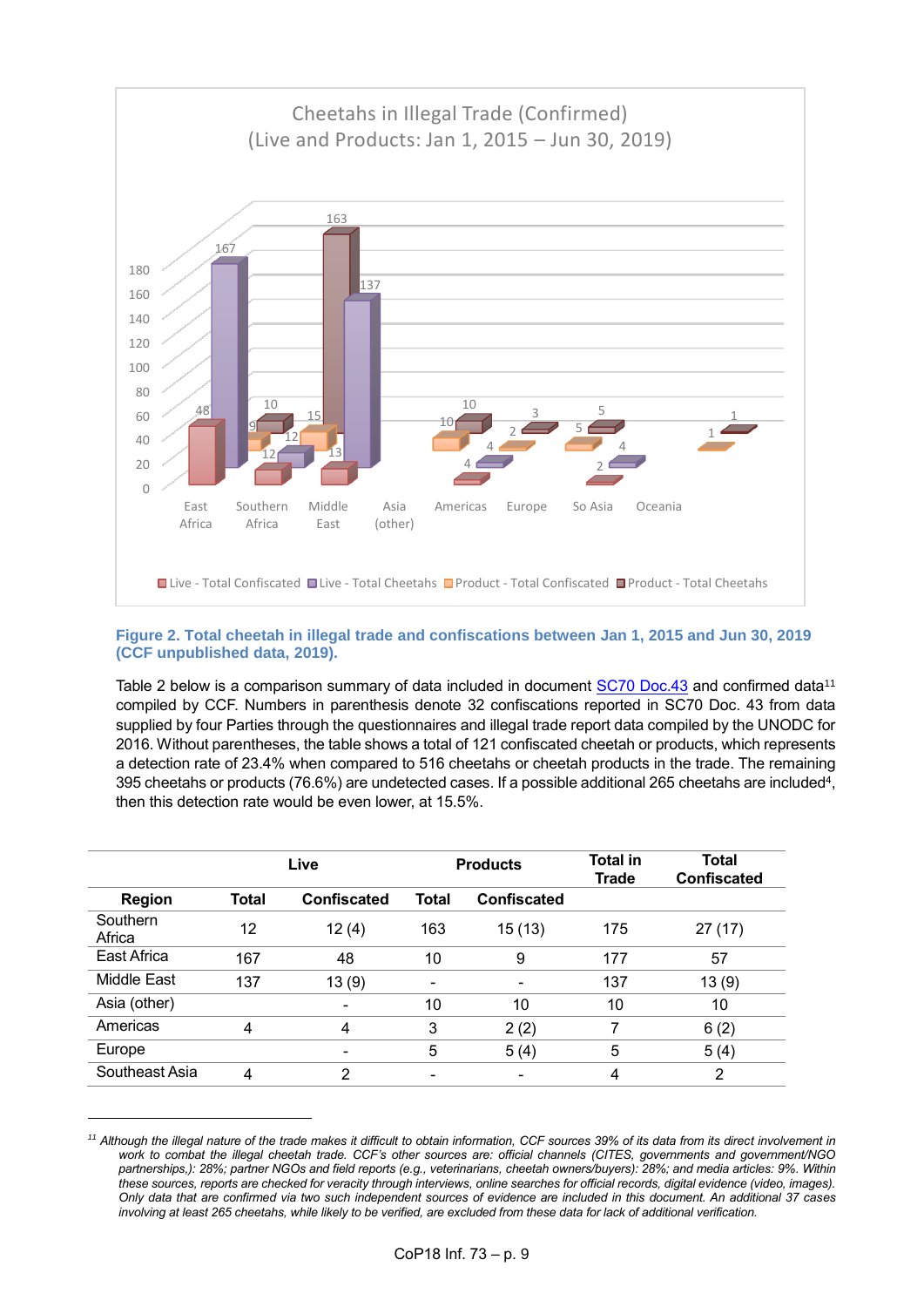

## <span id="page-8-0"></span>**Figure 2. Total cheetah in illegal trade and confiscations between Jan 1, 2015 and Jun 30, 2019 (CCF unpublished data, 2019).**

Table 2 below is a comparison summary of data included in document [SC70 Doc.43](https://cites.org/sites/default/files/eng/com/sc/70/E-SC70-43.pdf) and confirmed data<sup>11</sup> compiled by CCF. Numbers in parenthesis denote 32 confiscations reported in SC70 Doc. 43 from data supplied by four Parties through the questionnaires and illegal trade report data compiled by the UNODC for 2016. Without parentheses, the table shows a total of 121 confiscated cheetah or products, which represents a detection rate of 23.4% when compared to 516 cheetahs or cheetah products in the trade. The remaining 395 cheetahs or products (76.6%) are undetected cases. If a possible additional 265 cheetahs are included<sup>4</sup>, then this detection rate would be even lower, at 15.5%.

| <b>Region</b>      | Live  |                          | <b>Products</b> |                    | <b>Total in</b><br><b>Trade</b> | <b>Total</b><br><b>Confiscated</b> |
|--------------------|-------|--------------------------|-----------------|--------------------|---------------------------------|------------------------------------|
|                    | Total | <b>Confiscated</b>       | <b>Total</b>    | <b>Confiscated</b> |                                 |                                    |
| Southern<br>Africa | 12    | 12(4)                    | 163             | 15(13)             | 175                             | 27(17)                             |
| East Africa        | 167   | 48                       | 10              | 9                  | 177                             | 57                                 |
| Middle East        | 137   | 13(9)                    |                 |                    | 137                             | 13(9)                              |
| Asia (other)       |       |                          | 10              | 10                 | 10                              | 10                                 |
| Americas           | 4     | 4                        | 3               | 2(2)               | 7                               | 6(2)                               |
| Europe             |       | $\overline{\phantom{0}}$ | 5               | 5(4)               | 5                               | 5(4)                               |
| Southeast Asia     | 4     | 2                        | ۰               | ۰                  | 4                               | $\overline{2}$                     |

<sup>&</sup>lt;sup>11</sup> Although the illegal nature of the trade makes it difficult to obtain information, CCF sources 39% of its data from its direct involvement in *work to combat the illegal cheetah trade. CCF's other sources are: official channels (CITES, governments and government/NGO partnerships,): 28%; partner NGOs and field reports (e.g., veterinarians, cheetah owners/buyers): 28%; and media articles: 9%. Within these sources, reports are checked for veracity through interviews, online searches for official records, digital evidence (video, images). Only data that are confirmed via two such independent sources of evidence are included in this document. An additional 37 cases involving at least 265 cheetahs, while likely to be verified, are excluded from these data for lack of additional verification.*